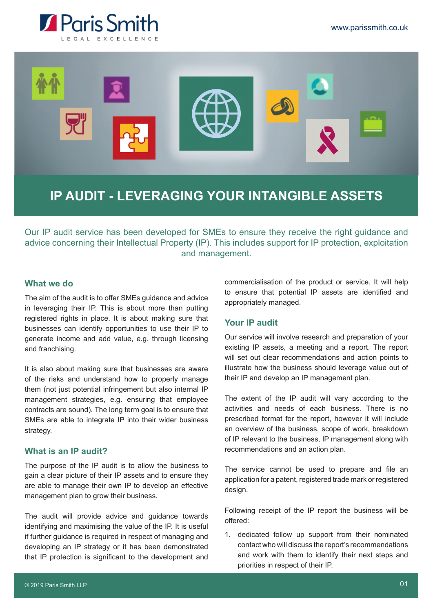



# **IP AUDIT - LEVERAGING YOUR INTANGIBLE ASSETS**

Our IP audit service has been developed for SMEs to ensure they receive the right guidance and advice concerning their Intellectual Property (IP). This includes support for IP protection, exploitation and management.

# **What we do**

The aim of the audit is to offer SMEs guidance and advice in leveraging their IP. This is about more than putting registered rights in place. It is about making sure that businesses can identify opportunities to use their IP to generate income and add value, e.g. through licensing and franchising.

It is also about making sure that businesses are aware of the risks and understand how to properly manage them (not just potential infringement but also internal IP management strategies, e.g. ensuring that employee contracts are sound). The long term goal is to ensure that SMEs are able to integrate IP into their wider business strategy.

## **What is an IP audit?**

The purpose of the IP audit is to allow the business to gain a clear picture of their IP assets and to ensure they are able to manage their own IP to develop an effective management plan to grow their business.

The audit will provide advice and guidance towards identifying and maximising the value of the IP. It is useful if further guidance is required in respect of managing and developing an IP strategy or it has been demonstrated that IP protection is significant to the development and

commercialisation of the product or service. It will help to ensure that potential IP assets are identified and appropriately managed.

## **Your IP audit**

Our service will involve research and preparation of your existing IP assets, a meeting and a report. The report will set out clear recommendations and action points to illustrate how the business should leverage value out of their IP and develop an IP management plan.

The extent of the IP audit will vary according to the activities and needs of each business. There is no prescribed format for the report, however it will include an overview of the business, scope of work, breakdown of IP relevant to the business, IP management along with recommendations and an action plan.

The service cannot be used to prepare and file an application for a patent, registered trade mark or registered design.

Following receipt of the IP report the business will be offered:

1. dedicated follow up support from their nominated contact who will discuss the report's recommendations and work with them to identify their next steps and priorities in respect of their IP.